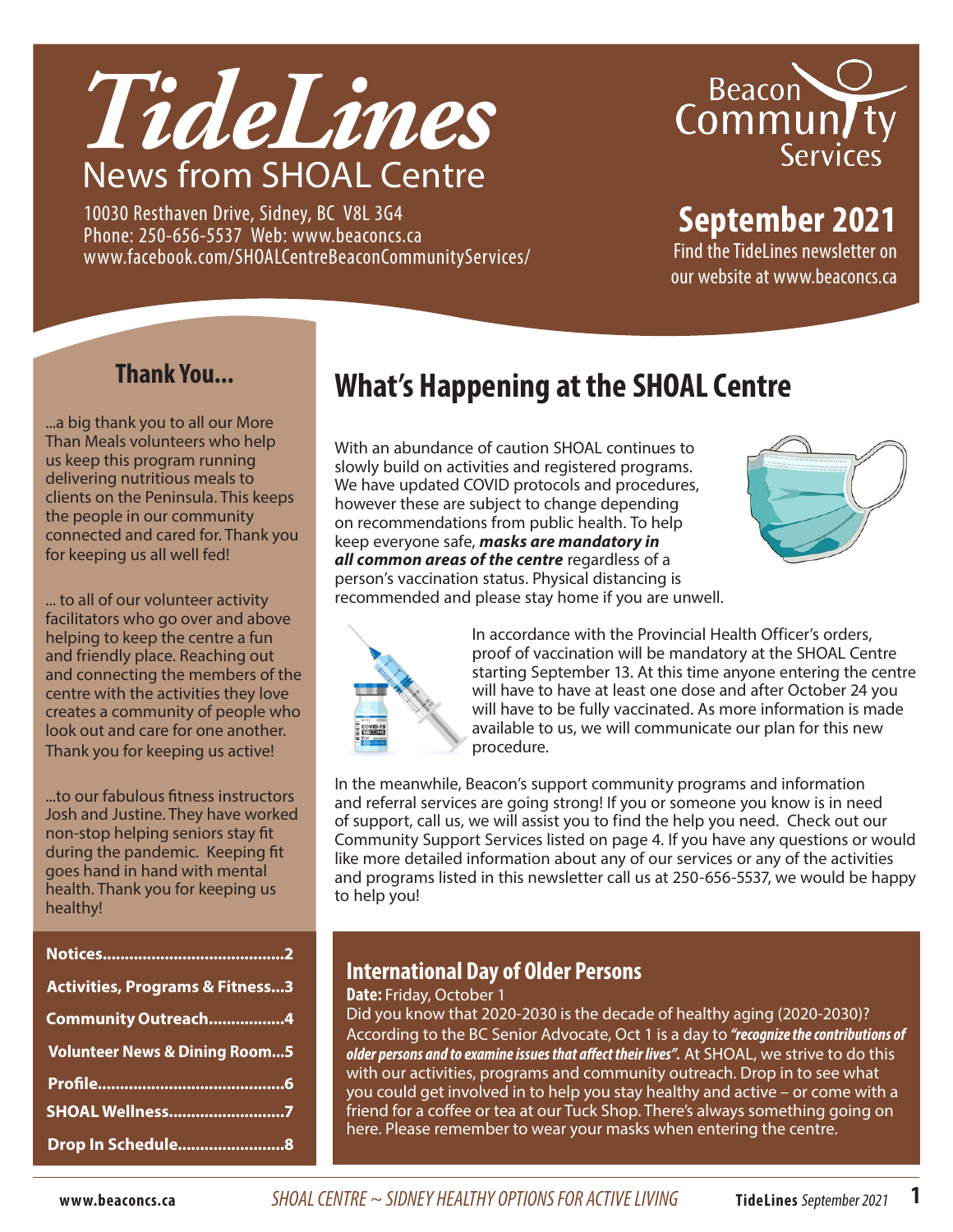

10030 Resthaven Drive, Sidney, BC V8L 3G4 Phone: 250-656-5537 Web: www.beaconcs.ca www.facebook.com/SHOALCentreBeaconCommunityServices/



**September 2021**

Find the TideLines newsletter on our website at www.beaconcs.ca

### **Thank You...**

...a big thank you to all our More Than Meals volunteers who help us keep this program running delivering nutritious meals to clients on the Peninsula. This keeps the people in our community connected and cared for. Thank you for keeping us all well fed!

... to all of our volunteer activity facilitators who go over and above helping to keep the centre a fun and friendly place. Reaching out and connecting the members of the centre with the activities they love creates a community of people who look out and care for one another. Thank you for keeping us active!

...to our fabulous fitness instructors Josh and Justine. They have worked non-stop helping seniors stay fit during the pandemic. Keeping fit goes hand in hand with mental health. Thank you for keeping us healthy!

| <b>Activities, Programs &amp; Fitness3</b> |
|--------------------------------------------|
| Community Outreach4                        |
| <b>Volunteer News &amp; Dining Room5</b>   |
|                                            |
| <b>SHOAL Wellness7</b>                     |
| <b>Drop In Schedule8</b>                   |

# **What's Happening at the SHOAL Centre**

With an abundance of caution SHOAL continues to slowly build on activities and registered programs. We have updated COVID protocols and procedures, however these are subject to change depending on recommendations from public health. To help keep everyone safe, *masks are mandatory in all common areas of the centre* regardless of a person's vaccination status. Physical distancing is recommended and please stay home if you are unwell.





In accordance with the Provincial Health Officer's orders, proof of vaccination will be mandatory at the SHOAL Centre starting September 13. At this time anyone entering the centre will have to have at least one dose and after October 24 you will have to be fully vaccinated. As more information is made available to us, we will communicate our plan for this new procedure.

In the meanwhile, Beacon's support community programs and information and referral services are going strong! If you or someone you know is in need of support, call us, we will assist you to find the help you need. Check out our Community Support Services listed on page 4. If you have any questions or would like more detailed information about any of our services or any of the activities and programs listed in this newsletter call us at 250-656-5537, we would be happy to help you!

#### **International Day of Older Persons**

**Date:** Friday, October 1

Did you know that 2020-2030 is the decade of healthy aging (2020-2030)? According to the BC Senior Advocate, Oct 1 is a day to *"recognize the contributions of older persons and to examine issues that affect their lives".* At SHOAL, we strive to do this with our activities, programs and community outreach. Drop in to see what you could get involved in to help you stay healthy and active – or come with a friend for a coffee or tea at our Tuck Shop. There's always something going on here. Please remember to wear your masks when entering the centre.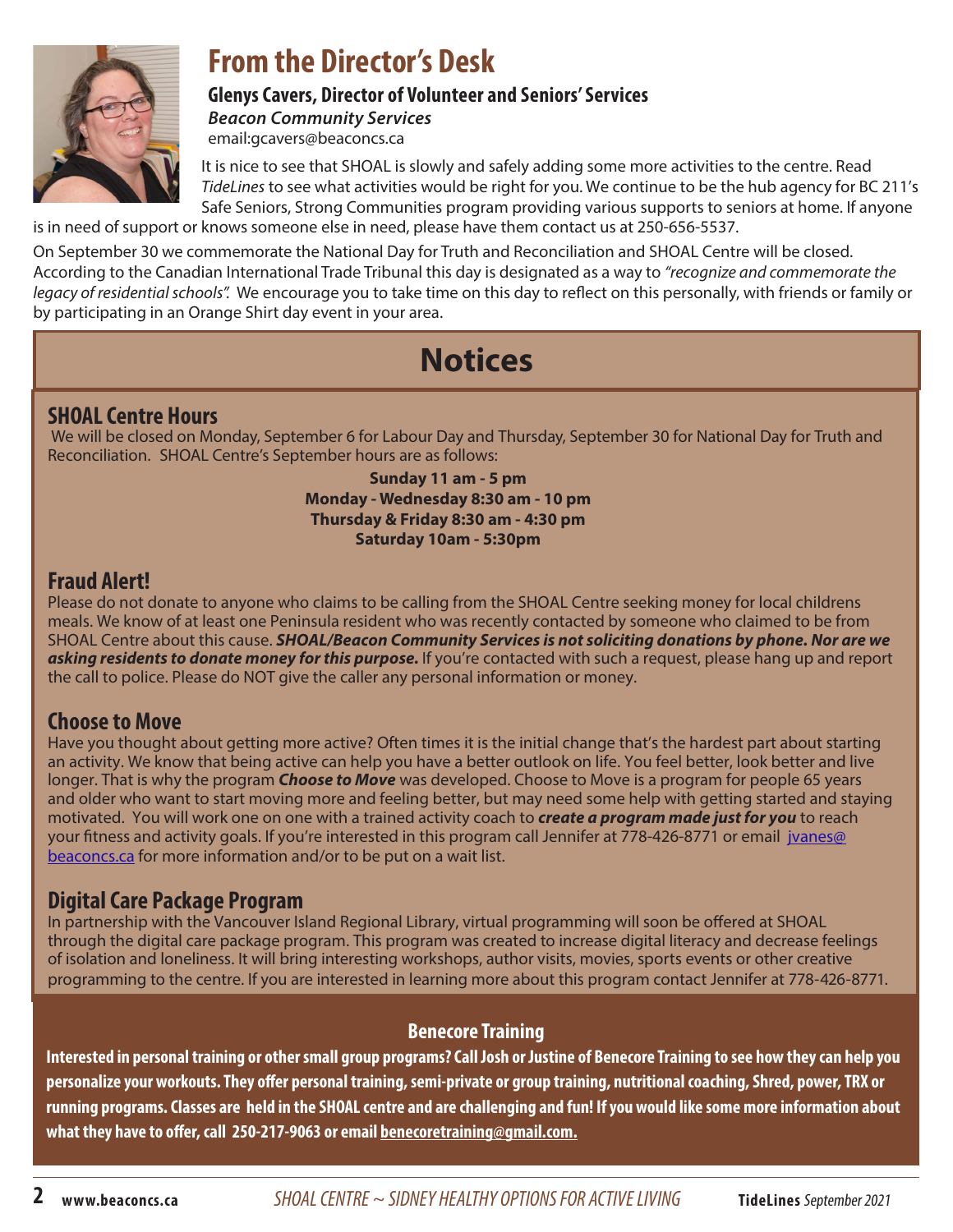

# **From the Director's Desk**

**Glenys Cavers, Director of Volunteer and Seniors' Services**

*Beacon Community Services* email:gcavers@beaconcs.ca

It is nice to see that SHOAL is slowly and safely adding some more activities to the centre. Read *TideLines* to see what activities would be right for you. We continue to be the hub agency for BC 211's Safe Seniors, Strong Communities program providing various supports to seniors at home. If anyone

is in need of support or knows someone else in need, please have them contact us at 250-656-5537.

On September 30 we commemorate the National Day for Truth and Reconciliation and SHOAL Centre will be closed. According to the Canadian International Trade Tribunal this day is designated as a way to *"recognize and commemorate the legacy of residential schools".* We encourage you to take time on this day to reflect on this personally, with friends or family or by participating in an Orange Shirt day event in your area.

# **Notices**

#### **SHOAL Centre Hours**

 We will be closed on Monday, September 6 for Labour Day and Thursday, September 30 for National Day for Truth and Reconciliation. SHOAL Centre's September hours are as follows:

#### **Sunday 11 am - 5 pm Monday - Wednesday 8:30 am - 10 pm Thursday & Friday 8:30 am - 4:30 pm Saturday 10am - 5:30pm**

#### **Fraud Alert!**

Please do not donate to anyone who claims to be calling from the SHOAL Centre seeking money for local childrens meals. We know of at least one Peninsula resident who was recently contacted by someone who claimed to be from SHOAL Centre about this cause. *SHOAL/Beacon Community Services is not soliciting donations by phone. Nor are we*  asking residents to donate money for this purpose. If you're contacted with such a request, please hang up and report the call to police. Please do NOT give the caller any personal information or money.

#### **Choose to Move**

Have you thought about getting more active? Often times it is the initial change that's the hardest part about starting an activity. We know that being active can help you have a better outlook on life. You feel better, look better and live longer. That is why the program *Choose to Move* was developed. Choose to Move is a program for people 65 years and older who want to start moving more and feeling better, but may need some help with getting started and staying motivated. You will work one on one with a trained activity coach to *create a program made just for you* to reach your fitness and activity goals. If you're interested in this program call Jennifer at 778-426-8771 or email jvanes@ beaconcs.ca for more information and/or to be put on a wait list.

#### **Digital Care Package Program**

In partnership with the Vancouver Island Regional Library, virtual programming will soon be offered at SHOAL through the digital care package program. This program was created to increase digital literacy and decrease feelings of isolation and loneliness. It will bring interesting workshops, author visits, movies, sports events or other creative programming to the centre. If you are interested in learning more about this program contact Jennifer at 778-426-8771.

#### **Benecore Training**

**Interested in personal training or other small group programs? Call Josh or Justine of Benecore Training to see how they can help you personalize your workouts. They offer personal training, semi-private or group training, nutritional coaching, Shred, power, TRX or running programs. Classes are held in the SHOAL centre and are challenging and fun! If you would like some more information about what they have to offer, call 250-217-9063 or email benecoretraining@gmail.com.**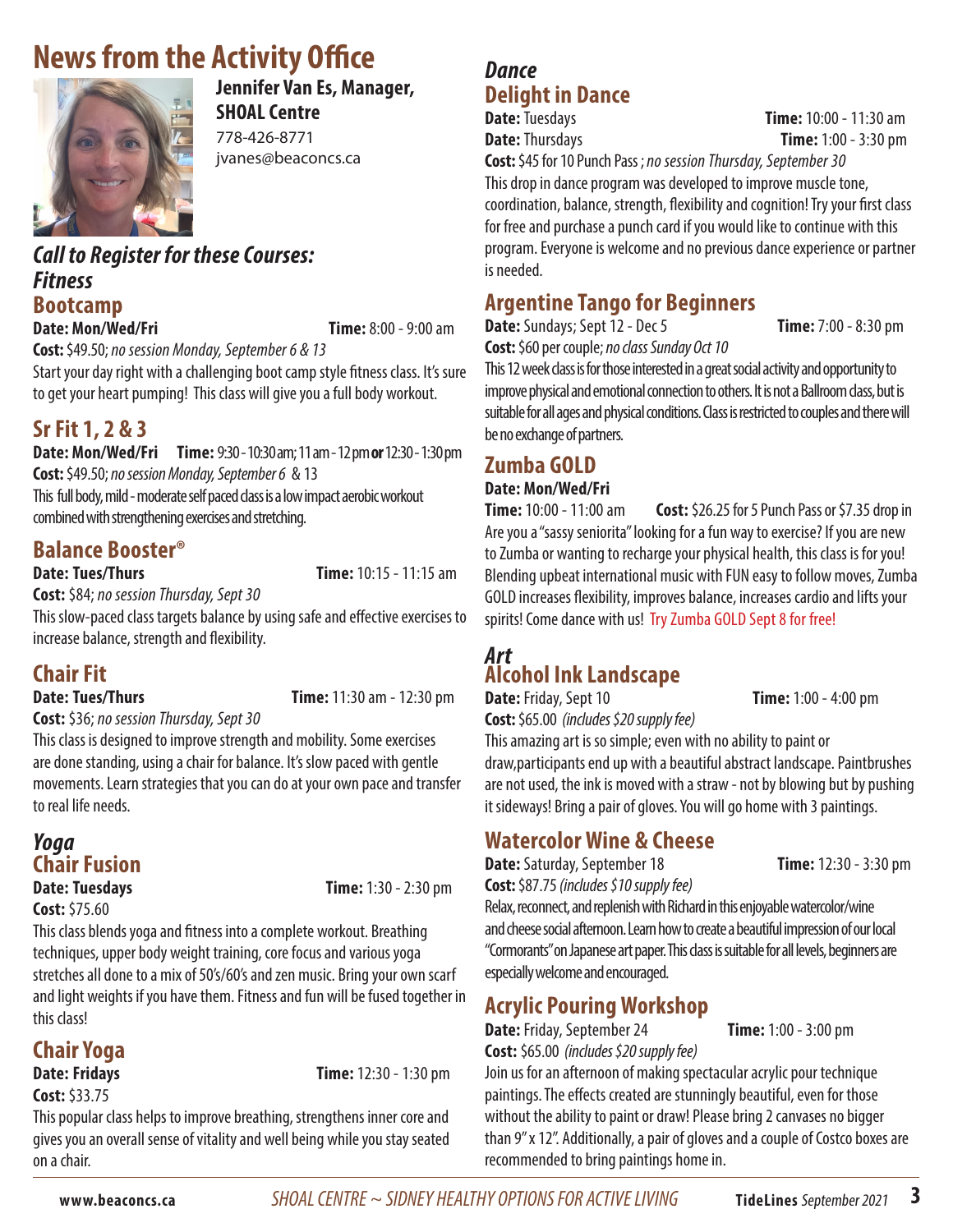# **News from the Activity Office**



## **Jennifer Van Es, Manager, SHOAL Centre**

778-426-8771 jvanes@beaconcs.ca

## *Call to Register for these Courses: Fitness*

**Bootcamp**

**Date: Mon/Wed/Fri Time:** 8:00 - 9:00 am

**Cost:** \$49.50; *no session Monday, September 6 & 13*

Start your day right with a challenging boot camp style fitness class. It's sure to get your heart pumping! This class will give you a full body workout.

#### **Sr Fit 1, 2 & 3**

**Date: Mon/Wed/Fri Time:** 9:30 - 10:30 am;11 am - 12 pm **or** 12:30 - 1:30 pm **Cost:** \$49.50; *no session Monday, September 6* & 13 This full body, mild - moderate self paced class is a low impact aerobic workout

combined with strengthening exercises and stretching.

#### **Balance Booster®**

**Date: Tues/Thurs Time:** 10:15 - 11:15 am

**Cost:** \$84; *no session Thursday, Sept 30*

This slow-paced class targets balance by using safe and effective exercises to increase balance, strength and flexibility.

#### **Chair Fit**

**Date: Tues/Thurs Time:** 11:30 am - 12:30 pm

**Cost:** \$36; *no session Thursday, Sept 30*

This class is designed to improve strength and mobility. Some exercises are done standing, using a chair for balance. It's slow paced with gentle movements. Learn strategies that you can do at your own pace and transfer to real life needs.

#### *Yoga* **Chair Fusion**

**Cost:** \$75.60

**Date: Tuesdays Time:** 1:30 - 2:30 pm

This class blends yoga and fitness into a complete workout. Breathing techniques, upper body weight training, core focus and various yoga stretches all done to a mix of 50's/60's and zen music. Bring your own scarf and light weights if you have them. Fitness and fun will be fused together in this class!

## **Chair Yoga**

**Cost:** \$33.75

**Date: Fridays Time:** 12:30 - 1:30 pm

This popular class helps to improve breathing, strengthens inner core and gives you an overall sense of vitality and well being while you stay seated on a chair.

#### *Dance* **Delight in Dance**

**Date:** Tuesdays**Time:** 10:00 - 11:30 am **Date:** Thursdays **Time:** 1:00 - 3:30 pm

**Cost:** \$45 for 10 Punch Pass ; *no session Thursday, September 30* This drop in dance program was developed to improve muscle tone, coordination, balance, strength, flexibility and cognition! Try your first class for free and purchase a punch card if you would like to continue with this program. Everyone is welcome and no previous dance experience or partner is needed.

#### **Argentine Tango for Beginners**

**Date:** Sundays; Sept 12 - Dec 5**Time:** 7:00 - 8:30 pm **Cost:** \$60 per couple; *no class Sunday Oct 10* 

This 12 week class is for those interested in a great social activity and opportunity to improve physical and emotional connection to others. It is not a Ballroom class, but is suitable for all ages and physical conditions. Class is restricted to couples and there will be no exchange of partners.

#### **Zumba GOLD**

#### **Date: Mon/Wed/Fri**

**Time:** 10:00 - 11:00 am **Cost:** \$26.25 for 5 Punch Pass or \$7.35 drop in Are you a "sassy seniorita" looking for a fun way to exercise? If you are new to Zumba or wanting to recharge your physical health, this class is for you! Blending upbeat international music with FUN easy to follow moves, Zumba GOLD increases flexibility, improves balance, increases cardio and lifts your spirits! Come dance with us! Try Zumba GOLD Sept 8 for free!

#### *Art* **Alcohol Ink Landscape**

**Date:** Friday, Sept 10**Time:** 1:00 - 4:00 pm

**Cost:** \$65.00 *(includes \$20 supply fee)* 

This amazing art is so simple; even with no ability to paint or draw,participants end up with a beautiful abstract landscape. Paintbrushes are not used, the ink is moved with a straw - not by blowing but by pushing it sideways! Bring a pair of gloves. You will go home with 3 paintings.

#### **Watercolor Wine & Cheese**

**Date:** Saturday, September 18 **Time:** 12:30 - 3:30 pm **Cost:** \$87.75 *(includes \$10 supply fee)* 

Relax, reconnect, and replenish with Richard in this enjoyable watercolor/wine and cheese social afternoon. Learn how to create a beautiful impression of our local "Cormorants" on Japanese art paper. This class is suitable for all levels, beginners are especially welcome and encouraged.

## **Acrylic Pouring Workshop**

**Date:** Friday, September 24 **Time:** 1:00 - 3:00 pm **Cost:** \$65.00 *(includes \$20 supply fee)* 

Join us for an afternoon of making spectacular acrylic pour technique paintings. The effects created are stunningly beautiful, even for those without the ability to paint or draw! Please bring 2 canvases no bigger than 9" x 12". Additionally, a pair of gloves and a couple of Costco boxes are recommended to bring paintings home in.

**www.beaconcs.ca** *SHOAL CENTRE ~ SIDNEY HEALTHY OPTIONS FOR ACTIVE LIVING* **TideLines** September 2021 **3**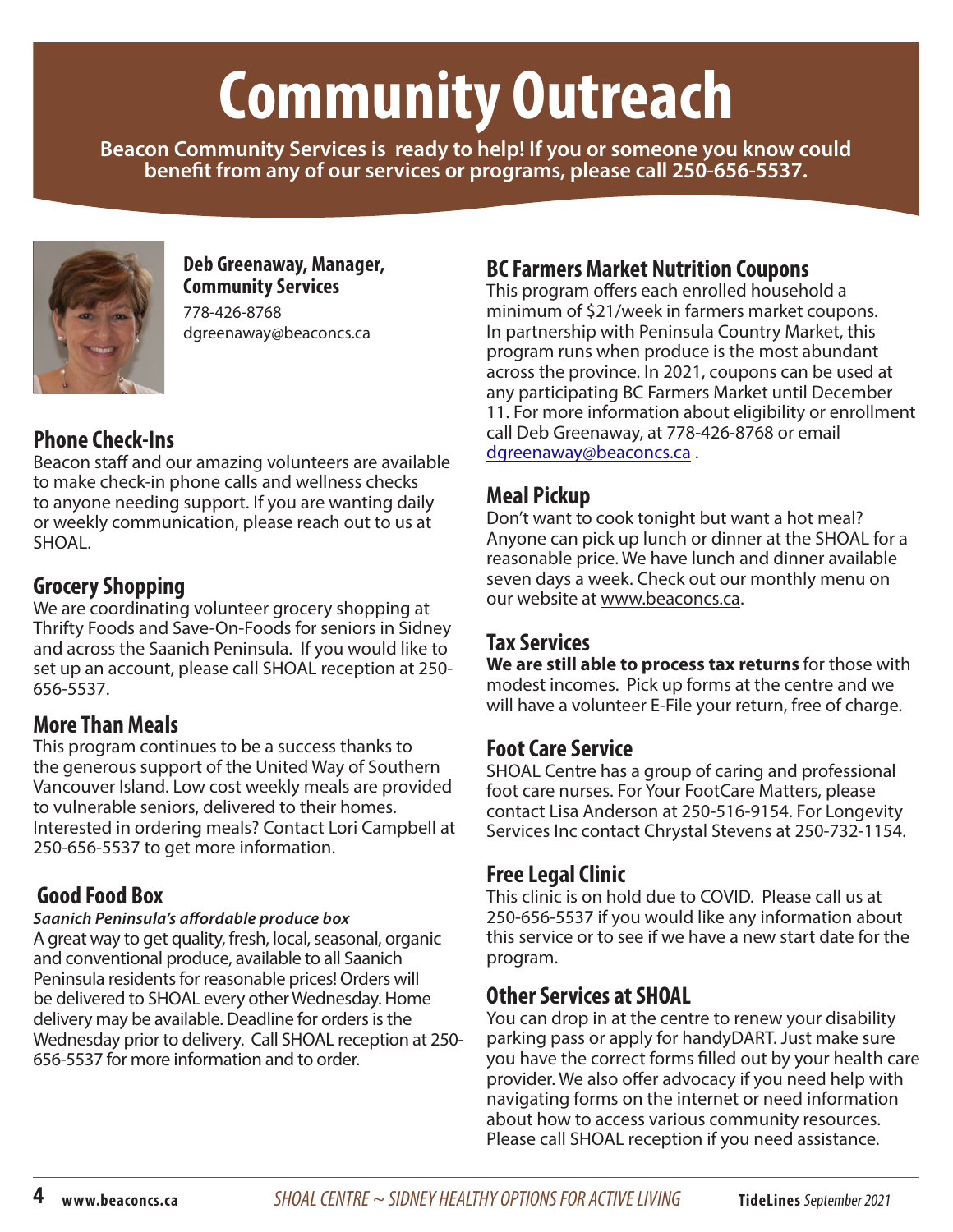# **Community Outreach**

**Beacon Community Services is ready to help! If you or someone you know could benefit from any of our services or programs, please call 250-656-5537.**



#### **Deb Greenaway, Manager, Community Services**  778-426-8768 dgreenaway@beaconcs.ca

#### **Phone Check-Ins**

Beacon staff and our amazing volunteers are available to make check-in phone calls and wellness checks to anyone needing support. If you are wanting daily or weekly communication, please reach out to us at SHOAL.

#### **Grocery Shopping**

We are coordinating volunteer grocery shopping at Thrifty Foods and Save-On-Foods for seniors in Sidney and across the Saanich Peninsula. If you would like to set up an account, please call SHOAL reception at 250- 656-5537.

#### **More Than Meals**

This program continues to be a success thanks to the generous support of the United Way of Southern Vancouver Island. Low cost weekly meals are provided to vulnerable seniors, delivered to their homes. Interested in ordering meals? Contact Lori Campbell at 250-656-5537 to get more information.

#### **Good Food Box**

#### *Saanich Peninsula's affordable produce box*

A great way to get quality, fresh, local, seasonal, organic and conventional produce, available to all Saanich Peninsula residents for reasonable prices! Orders will be delivered to SHOAL every other Wednesday. Home delivery may be available. Deadline for orders is the Wednesday prior to delivery. Call SHOAL reception at 250- 656-5537 for more information and to order.

#### **BC Farmers Market Nutrition Coupons**

This program offers each enrolled household a minimum of \$21/week in farmers market coupons. In partnership with Peninsula Country Market, this program runs when produce is the most abundant across the province. In 2021, coupons can be used at any participating BC Farmers Market until December 11. For more information about eligibility or enrollment call Deb Greenaway, at 778-426-8768 or email dgreenaway@beaconcs.ca .

#### **Meal Pickup**

Don't want to cook tonight but want a hot meal? Anyone can pick up lunch or dinner at the SHOAL for a reasonable price. We have lunch and dinner available seven days a week. Check out our monthly menu on our website at www.beaconcs.ca.

#### **Tax Services**

**We are still able to process tax returns** for those with modest incomes. Pick up forms at the centre and we will have a volunteer E-File your return, free of charge.

#### **Foot Care Service**

SHOAL Centre has a group of caring and professional foot care nurses. For Your FootCare Matters, please contact Lisa Anderson at 250-516-9154. For Longevity Services Inc contact Chrystal Stevens at 250-732-1154.

#### **Free Legal Clinic**

This clinic is on hold due to COVID. Please call us at 250-656-5537 if you would like any information about this service or to see if we have a new start date for the program.

#### **Other Services at SHOAL**

You can drop in at the centre to renew your disability parking pass or apply for handyDART. Just make sure you have the correct forms filled out by your health care provider. We also offer advocacy if you need help with navigating forms on the internet or need information about how to access various community resources. Please call SHOAL reception if you need assistance.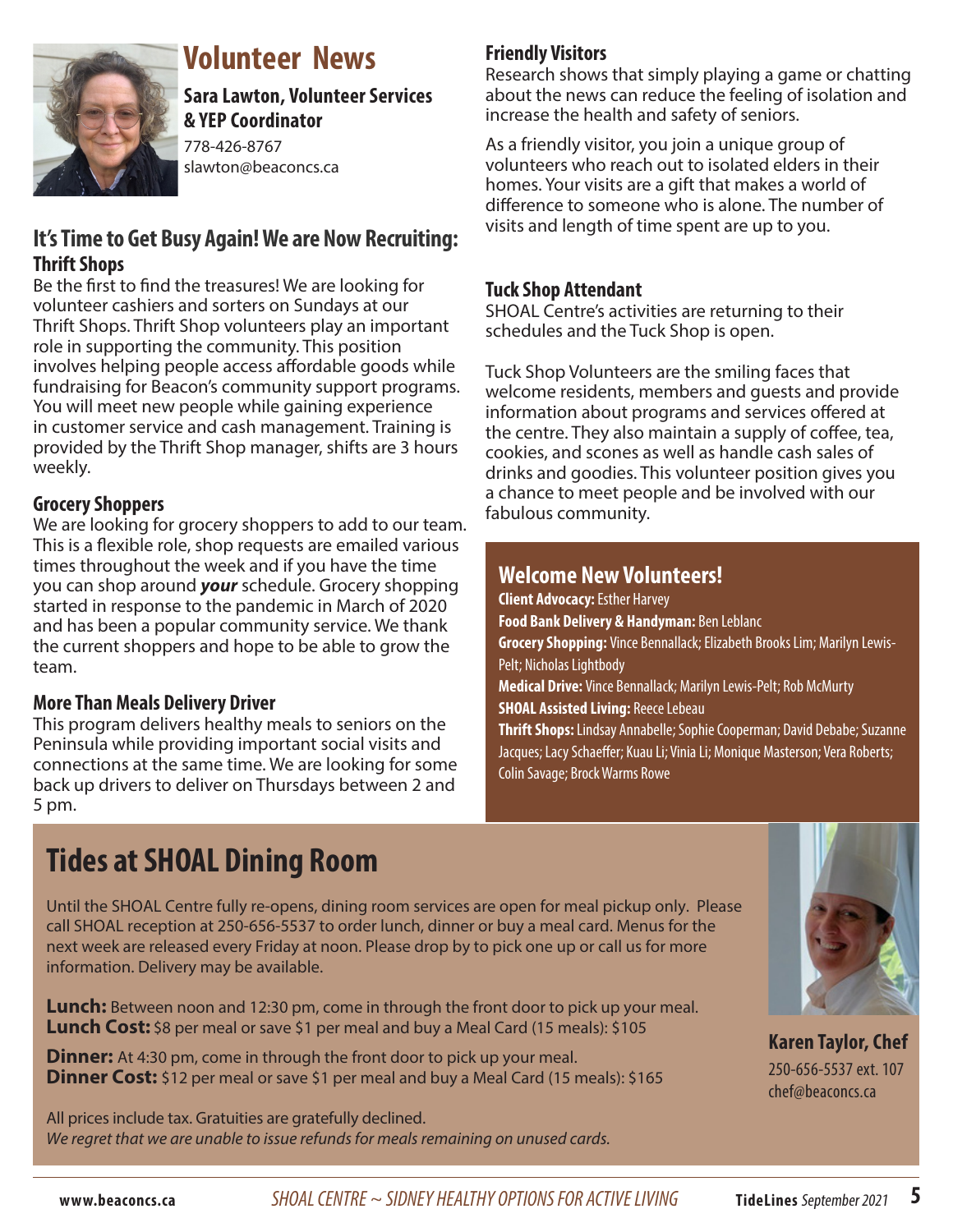

# **Volunteer News**

**Sara Lawton, Volunteer Services & YEP Coordinator** 

778-426-8767 slawton@beaconcs.ca

#### **It's Time to Get Busy Again! We are Now Recruiting: Thrift Shops**

Be the first to find the treasures! We are looking for volunteer cashiers and sorters on Sundays at our Thrift Shops. Thrift Shop volunteers play an important role in supporting the community. This position involves helping people access affordable goods while fundraising for Beacon's community support programs. You will meet new people while gaining experience in customer service and cash management. Training is provided by the Thrift Shop manager, shifts are 3 hours weekly.

#### **Grocery Shoppers**

We are looking for grocery shoppers to add to our team. This is a flexible role, shop requests are emailed various times throughout the week and if you have the time you can shop around *your* schedule. Grocery shopping started in response to the pandemic in March of 2020 and has been a popular community service. We thank the current shoppers and hope to be able to grow the team.

#### **More Than Meals Delivery Driver**

This program delivers healthy meals to seniors on the Peninsula while providing important social visits and connections at the same time. We are looking for some back up drivers to deliver on Thursdays between 2 and 5 pm.

#### **Friendly Visitors**

Research shows that simply playing a game or chatting about the news can reduce the feeling of isolation and increase the health and safety of seniors.

As a friendly visitor, you join a unique group of volunteers who reach out to isolated elders in their homes. Your visits are a gift that makes a world of difference to someone who is alone. The number of visits and length of time spent are up to you.

#### **Tuck Shop Attendant**

SHOAL Centre's activities are returning to their schedules and the Tuck Shop is open.

Tuck Shop Volunteers are the smiling faces that welcome residents, members and guests and provide information about programs and services offered at the centre. They also maintain a supply of coffee, tea, cookies, and scones as well as handle cash sales of drinks and goodies. This volunteer position gives you a chance to meet people and be involved with our fabulous community.

#### **Welcome New Volunteers!**

**Client Advocacy:** Esther Harvey **Food Bank Delivery & Handyman:** Ben Leblanc **Grocery Shopping:** Vince Bennallack;Elizabeth Brooks Lim; Marilyn Lewis-Pelt; Nicholas Lightbody **Medical Drive:** Vince Bennallack; Marilyn Lewis-Pelt; Rob McMurty **SHOAL Assisted Living:** Reece Lebeau

**Thrift Shops:** Lindsay Annabelle; Sophie Cooperman; David Debabe; Suzanne Jacques; Lacy Schaeffer; Kuau Li; Vinia Li; Monique Masterson; Vera Roberts; Colin Savage; Brock Warms Rowe

# **Tides at SHOAL Dining Room**

Until the SHOAL Centre fully re-opens, dining room services are open for meal pickup only. Please call SHOAL reception at 250-656-5537 to order lunch, dinner or buy a meal card. Menus for the next week are released every Friday at noon. Please drop by to pick one up or call us for more information. Delivery may be available.

**Lunch:** Between noon and 12:30 pm, come in through the front door to pick up your meal. **Lunch Cost:** \$8 per meal or save \$1 per meal and buy a Meal Card (15 meals): \$105

**Dinner:** At 4:30 pm, come in through the front door to pick up your meal. **Dinner Cost:** \$12 per meal or save \$1 per meal and buy a Meal Card (15 meals): \$165

All prices include tax. Gratuities are gratefully declined. *We regret that we are unable to issue refunds for meals remaining on unused cards.*



**Karen Taylor, Chef**  250-656-5537 ext. 107 chef@beaconcs.ca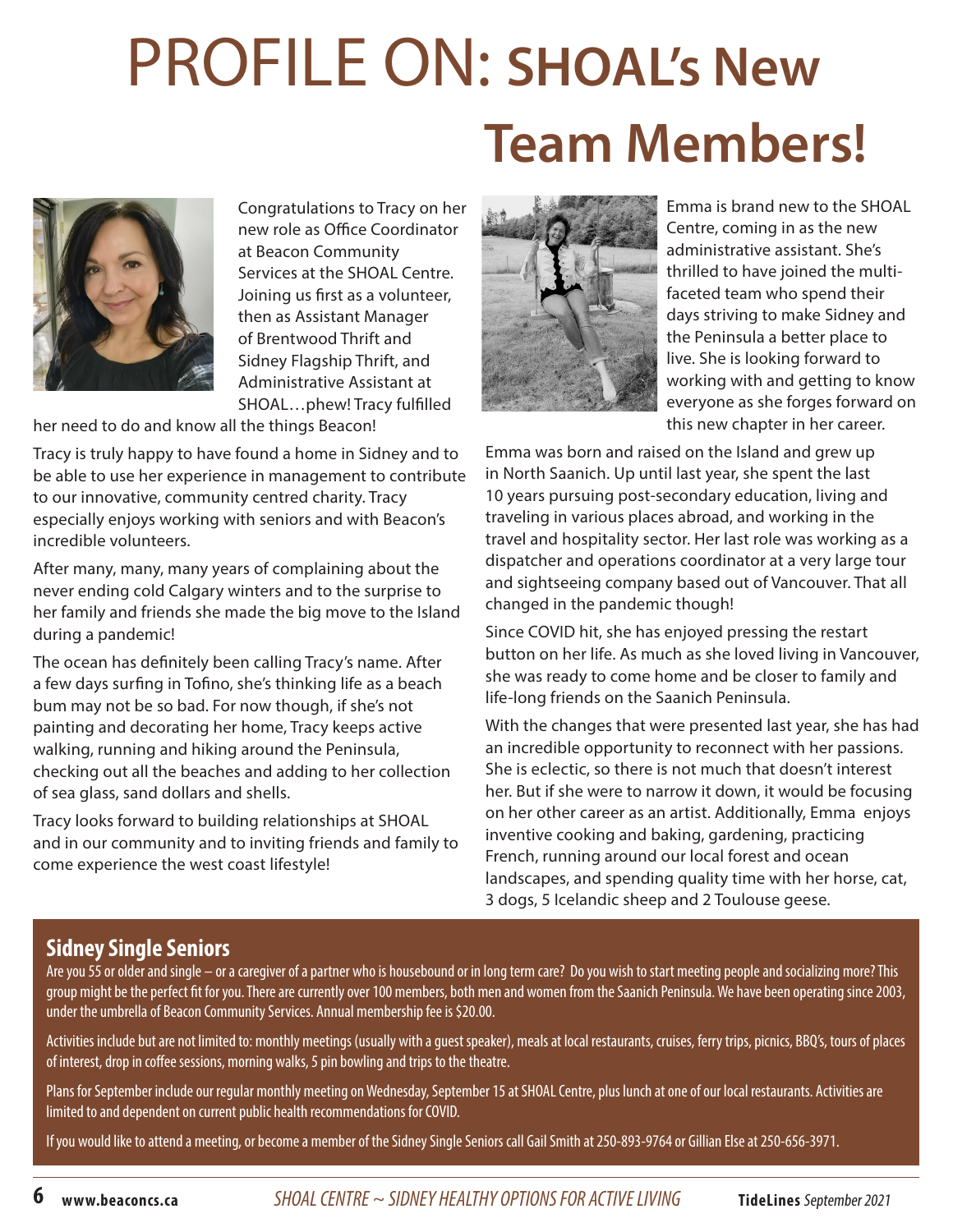# PROFILE ON: **SHOAL's New Team Members!**



Congratulations to Tracy on her new role as Office Coordinator at Beacon Community Services at the SHOAL Centre. Joining us first as a volunteer, then as Assistant Manager of Brentwood Thrift and Sidney Flagship Thrift, and Administrative Assistant at SHOAL…phew! Tracy fulfilled

her need to do and know all the things Beacon!

Tracy is truly happy to have found a home in Sidney and to be able to use her experience in management to contribute to our innovative, community centred charity. Tracy especially enjoys working with seniors and with Beacon's incredible volunteers.

After many, many, many years of complaining about the never ending cold Calgary winters and to the surprise to her family and friends she made the big move to the Island during a pandemic!

The ocean has definitely been calling Tracy's name. After a few days surfing in Tofino, she's thinking life as a beach bum may not be so bad. For now though, if she's not painting and decorating her home, Tracy keeps active walking, running and hiking around the Peninsula, checking out all the beaches and adding to her collection of sea glass, sand dollars and shells.

Tracy looks forward to building relationships at SHOAL and in our community and to inviting friends and family to come experience the west coast lifestyle!



Emma is brand new to the SHOAL Centre, coming in as the new administrative assistant. She's thrilled to have joined the multifaceted team who spend their days striving to make Sidney and the Peninsula a better place to live. She is looking forward to working with and getting to know everyone as she forges forward on this new chapter in her career.

Emma was born and raised on the Island and grew up in North Saanich. Up until last year, she spent the last 10 years pursuing post-secondary education, living and traveling in various places abroad, and working in the travel and hospitality sector. Her last role was working as a dispatcher and operations coordinator at a very large tour and sightseeing company based out of Vancouver. That all changed in the pandemic though!

Since COVID hit, she has enjoyed pressing the restart button on her life. As much as she loved living in Vancouver, she was ready to come home and be closer to family and life-long friends on the Saanich Peninsula.

With the changes that were presented last year, she has had an incredible opportunity to reconnect with her passions. She is eclectic, so there is not much that doesn't interest her. But if she were to narrow it down, it would be focusing on her other career as an artist. Additionally, Emma enjoys inventive cooking and baking, gardening, practicing French, running around our local forest and ocean landscapes, and spending quality time with her horse, cat, 3 dogs, 5 Icelandic sheep and 2 Toulouse geese.

#### **Sidney Single Seniors**

Are you 55 or older and single – or a caregiver of a partner who is housebound or in long term care? Do you wish to start meeting people and socializing more? This group might be the perfect fit for you. There are currently over 100 members, both men and women from the Saanich Peninsula. We have been operating since 2003, under the umbrella of Beacon Community Services. Annual membership fee is \$20.00.

Activities include but are not limited to: monthly meetings (usually with a guest speaker), meals at local restaurants, cruises, ferry trips, picnics, BBQ's, tours of places of interest, drop in coffee sessions, morning walks, 5 pin bowling and trips to the theatre.

Plans for September include our regular monthly meeting on Wednesday, September 15 at SHOAL Centre, plus lunch at one of our local restaurants. Activities are limited to and dependent on current public health recommendations for COVID.

If you would like to attend a meeting, or become a member of the Sidney Single Seniors call Gail Smith at 250-893-9764 or Gillian Else at 250-656-3971.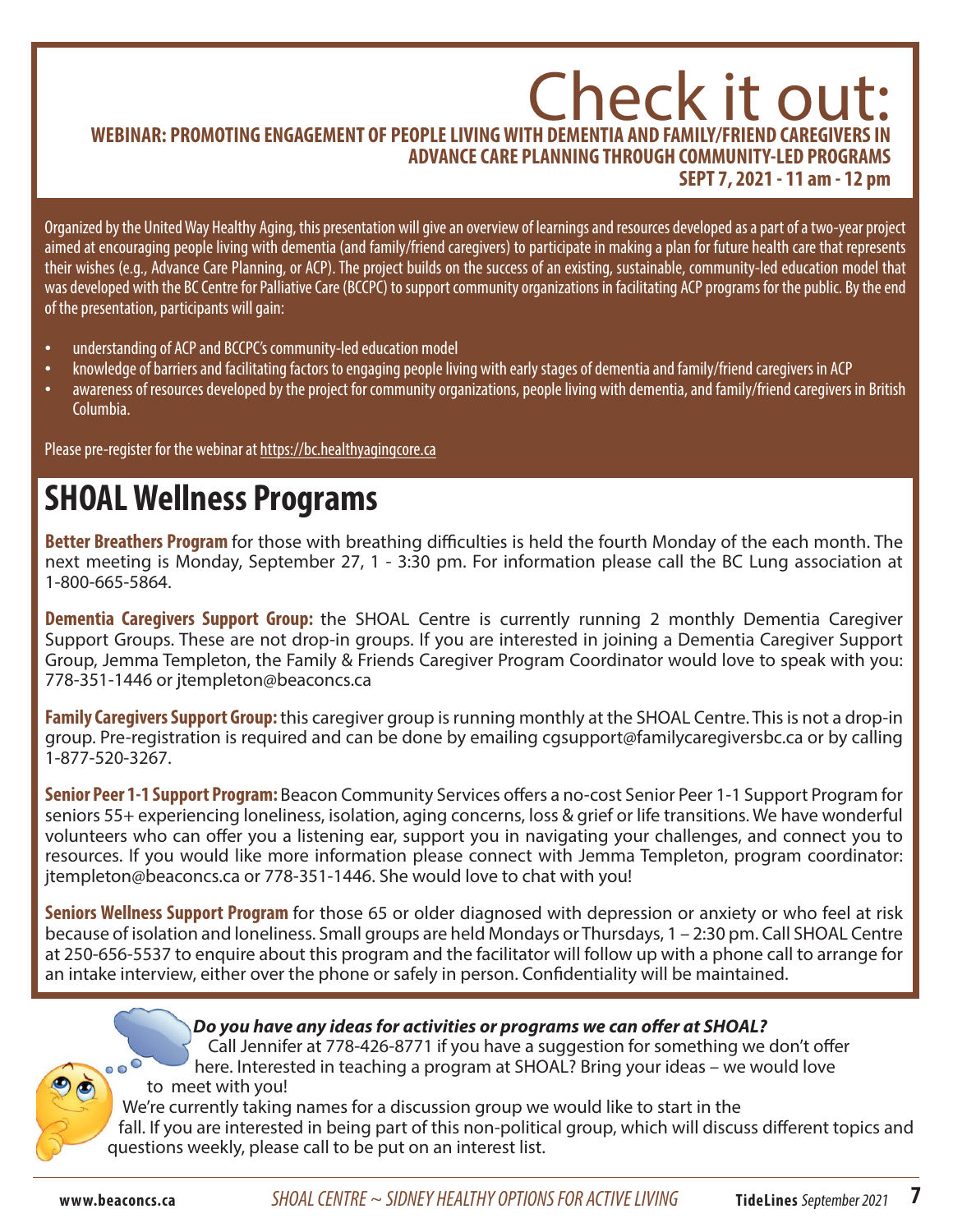## Check it out: WEBINAR: PROMOTING ENGAGEMENT OF PEOPLE LIVING WITH DEMENTIA AND FAMILY/FRIEND CAREGIVI **ADVANCE CARE PLANNING THROUGH COMMUNITY-LED PROGRAMS SEPT 7, 2021 - 11 am - 12 pm**

Organized by the United Way Healthy Aging, this presentation will give an overview of learnings and resources developed as a part of a two-year project aimed at encouraging people living with dementia (and family/friend caregivers) to participate in making a plan for future health care that represents their wishes (e.g., Advance Care Planning, or ACP). The project builds on the success of an existing, sustainable, community-led education model that was developed with the BC Centre for Palliative Care (BCCPC) to support community organizations in facilitating ACP programs for the public. By the end of the presentation, participants will gain:

- understanding of ACP and BCCPC's community-led education model
- knowledge of barriers and facilitating factors to engaging people living with early stages of dementia and family/friend caregivers in ACP
- awareness of resources developed by the project for community organizations, people living with dementia, and family/friend caregivers in British Columbia.

Please pre-register for the webinar at https://bc.healthyagingcore.ca

# **SHOAL Wellness Programs**

**Better Breathers Program** for those with breathing difficulties is held the fourth Monday of the each month. The next meeting is Monday, September 27, 1 - 3:30 pm. For information please call the BC Lung association at 1-800-665-5864.

**Dementia Caregivers Support Group:** the SHOAL Centre is currently running 2 monthly Dementia Caregiver Support Groups. These are not drop-in groups. If you are interested in joining a Dementia Caregiver Support Group, Jemma Templeton, the Family & Friends Caregiver Program Coordinator would love to speak with you: 778-351-1446 or jtempleton@beaconcs.ca

**Family Caregivers Support Group:** this caregiver group is running monthly at the SHOAL Centre. This is not a drop-in group. Pre-registration is required and can be done by emailing cgsupport@familycaregiversbc.ca or by calling 1-877-520-3267.

**Senior Peer 1-1 Support Program:** Beacon Community Services offers a no-cost Senior Peer 1-1 Support Program for seniors 55+ experiencing loneliness, isolation, aging concerns, loss & grief or life transitions. We have wonderful volunteers who can offer you a listening ear, support you in navigating your challenges, and connect you to resources. If you would like more information please connect with Jemma Templeton, program coordinator: jtempleton@beaconcs.ca or 778-351-1446. She would love to chat with you!

**Seniors Wellness Support Program** for those 65 or older diagnosed with depression or anxiety or who feel at risk because of isolation and loneliness. Small groups are held Mondays or Thursdays, 1 – 2:30 pm. Call SHOAL Centre at 250-656-5537 to enquire about this program and the facilitator will follow up with a phone call to arrange for an intake interview, either over the phone or safely in person. Confidentiality will be maintained.

#### *Do you have any ideas for activities or programs we can offer at SHOAL?*

Call Jennifer at 778-426-8771 if you have a suggestion for something we don't offer<br>here, Interested in teaching a program at SHOAI? Bring your ideas – we would love here. Interested in teaching a program at SHOAL? Bring your ideas – we would love to meet with you!

 We're currently taking names for a discussion group we would like to start in the fall. If you are interested in being part of this non-political group, which will discuss different topics and questions weekly, please call to be put on an interest list.